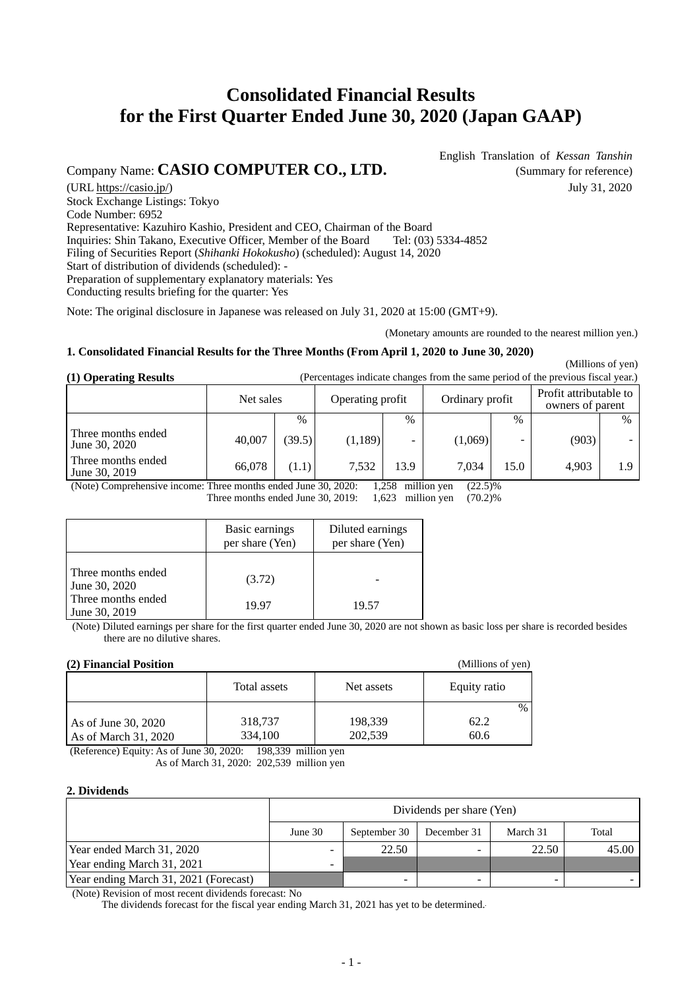# **Consolidated Financial Results for the First Quarter Ended June 30, 2020 (Japan GAAP)**

## Company Name: **CASIO COMPUTER CO., LTD.** (Summary for reference)

English Translation of *Kessan Tanshin*

(URL https://casio.jp/) July 31, 2020 Stock Exchange Listings: Tokyo Code Number: 6952 Representative: Kazuhiro Kashio, President and CEO, Chairman of the Board Inquiries: Shin Takano, Executive Officer, Member of the Board Tel: (03) 5334-4852 Filing of Securities Report (*Shihanki Hokokusho*) (scheduled): August 14, 2020 Start of distribution of dividends (scheduled): - Preparation of supplementary explanatory materials: Yes Conducting results briefing for the quarter: Yes

Note: The original disclosure in Japanese was released on July 31, 2020 at 15:00 (GMT+9).

(Monetary amounts are rounded to the nearest million yen.)

(Millions of yen)

(Millions of yen)

#### **1. Consolidated Financial Results for the Three Months (From April 1, 2020 to June 30, 2020)**

**(1) Operating Results** (Percentages indicate changes from the same period of the previous fiscal year.)

|                                     | Ordinary profit<br>Net sales<br>Operating profit |        |          | Profit attributable to<br>owners of parent |         |      |       |               |
|-------------------------------------|--------------------------------------------------|--------|----------|--------------------------------------------|---------|------|-------|---------------|
|                                     |                                                  | $\%$   |          | $\%$                                       |         | $\%$ |       | $\frac{0}{0}$ |
| Three months ended<br>June 30, 2020 | 40,007                                           | (39.5) | (1, 189) | -                                          | (1,069) | -    | (903) |               |
| Three months ended<br>June 30, 2019 | 66,078                                           | (1.1)  | 7,532    | 13.9                                       | 7.034   | 15.0 | 4.903 | 1.9           |

(Note) Comprehensive income: Three months ended June 30, 2020: 1,258 million yen (22.5)%<br>Three months ended June 30, 2019: 1,623 million yen (70.2)%

Three months ended June 30, 2019:

|                                                                            | Basic earnings<br>per share (Yen) | Diluted earnings<br>per share (Yen) |
|----------------------------------------------------------------------------|-----------------------------------|-------------------------------------|
| Three months ended<br>June 30, 2020<br>Three months ended<br>June 30, 2019 | (3.72)<br>19.97                   | 19.57                               |

(Note) Diluted earnings per share for the first quarter ended June 30, 2020 are not shown as basic loss per share is recorded besides there are no dilutive shares.

## **(2) Financial Position**

|                      | Total assets | Net assets | Equity ratio |      |
|----------------------|--------------|------------|--------------|------|
| As of June 30, 2020  | 318,737      | 198,339    | 62.2         | $\%$ |
| As of March 31, 2020 | 334,100      | 202,539    | 60.6         |      |

(Reference) Equity: As of June 30, 2020: 198,339 million yen As of March 31, 2020: 202,539 million yen

#### **2. Dividends**

|                                       | Dividends per share (Yen) |          |       |       |       |  |  |
|---------------------------------------|---------------------------|----------|-------|-------|-------|--|--|
|                                       | June $30$                 | March 31 | Total |       |       |  |  |
| Year ended March 31, 2020             | -                         | 22.50    |       | 22.50 | 45.00 |  |  |
| Year ending March 31, 2021            |                           |          |       |       |       |  |  |
| Year ending March 31, 2021 (Forecast) |                           | -        |       |       |       |  |  |

(Note) Revision of most recent dividends forecast: No

The dividends forecast for the fiscal year ending March 31, 2021 has yet to be determined.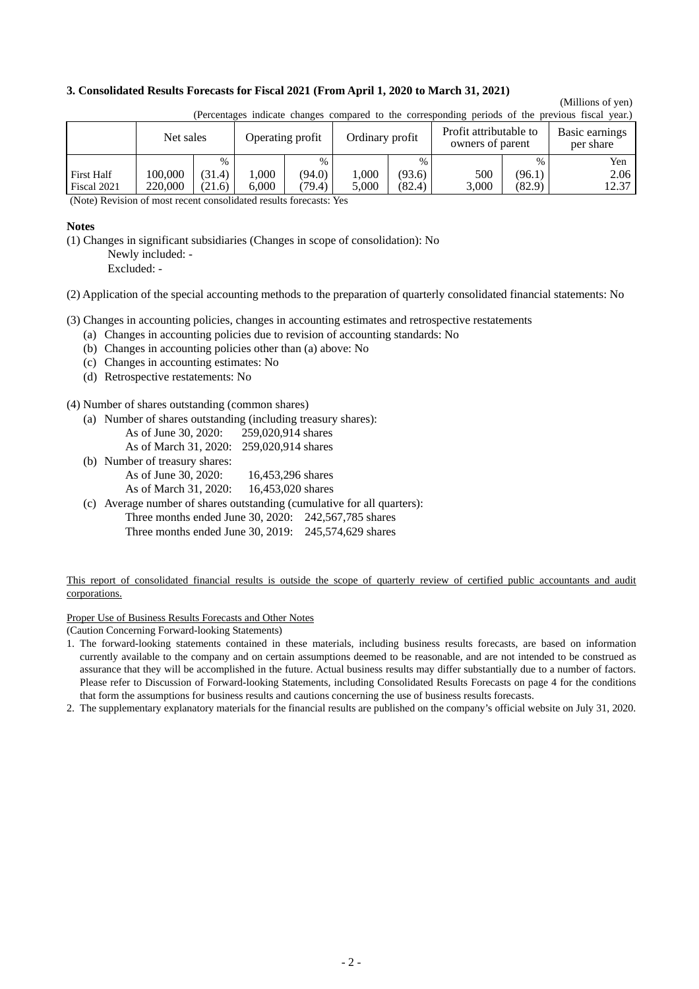#### **3. Consolidated Results Forecasts for Fiscal 2021 (From April 1, 2020 to March 31, 2021)**

## (Millions of yen)

|                                  | received marcule enuncies compared to the corresponding periods or the previous moder year. |                  |               |                  |                  |                  |                                            |                  |                             |
|----------------------------------|---------------------------------------------------------------------------------------------|------------------|---------------|------------------|------------------|------------------|--------------------------------------------|------------------|-----------------------------|
|                                  | Net sales                                                                                   |                  |               | Operating profit | Ordinary profit  |                  | Profit attributable to<br>owners of parent |                  | Basic earnings<br>per share |
|                                  |                                                                                             | $\%$             |               | $\%$             |                  | $\%$             |                                            | $\%$             | Yen                         |
| <b>First Half</b><br>Fiscal 2021 | 100.000<br>220,000                                                                          | (31.4)<br>(21.6) | .000<br>6.000 | (94.0)<br>(79.4) | $000$ .<br>5.000 | (93.6)<br>(82.4) | 500<br>3,000                               | (96.1)<br>(82.9) | 2.06<br>12.37               |

(Percentages indicate changes compared to the corresponding periods of the previous fiscal year.)

(Note) Revision of most recent consolidated results forecasts: Yes

#### **Notes**

(1) Changes in significant subsidiaries (Changes in scope of consolidation): No

 Newly included: - Excluded: -

(2) Application of the special accounting methods to the preparation of quarterly consolidated financial statements: No

(3) Changes in accounting policies, changes in accounting estimates and retrospective restatements

- (a) Changes in accounting policies due to revision of accounting standards: No
- (b) Changes in accounting policies other than (a) above: No
- (c) Changes in accounting estimates: No
- (d) Retrospective restatements: No

(4) Number of shares outstanding (common shares)

(a) Number of shares outstanding (including treasury shares):

| As of June 30, 2020: | 259,020,914 shares |
|----------------------|--------------------|
|                      |                    |

- As of March 31, 2020: 259,020,914 shares
- (b) Number of treasury shares: As of June 30, 2020: 16,453,296 shares
	- As of March 31, 2020: 16,453,020 shares
- (c) Average number of shares outstanding (cumulative for all quarters):
	- Three months ended June 30, 2020: 242,567,785 shares Three months ended June 30, 2019: 245,574,629 shares

This report of consolidated financial results is outside the scope of quarterly review of certified public accountants and audit corporations.

Proper Use of Business Results Forecasts and Other Notes

(Caution Concerning Forward-looking Statements)

- 1. The forward-looking statements contained in these materials, including business results forecasts, are based on information currently available to the company and on certain assumptions deemed to be reasonable, and are not intended to be construed as assurance that they will be accomplished in the future. Actual business results may differ substantially due to a number of factors. Please refer to Discussion of Forward-looking Statements, including Consolidated Results Forecasts on page 4 for the conditions that form the assumptions for business results and cautions concerning the use of business results forecasts.
- 2. The supplementary explanatory materials for the financial results are published on the company's official website on July 31, 2020.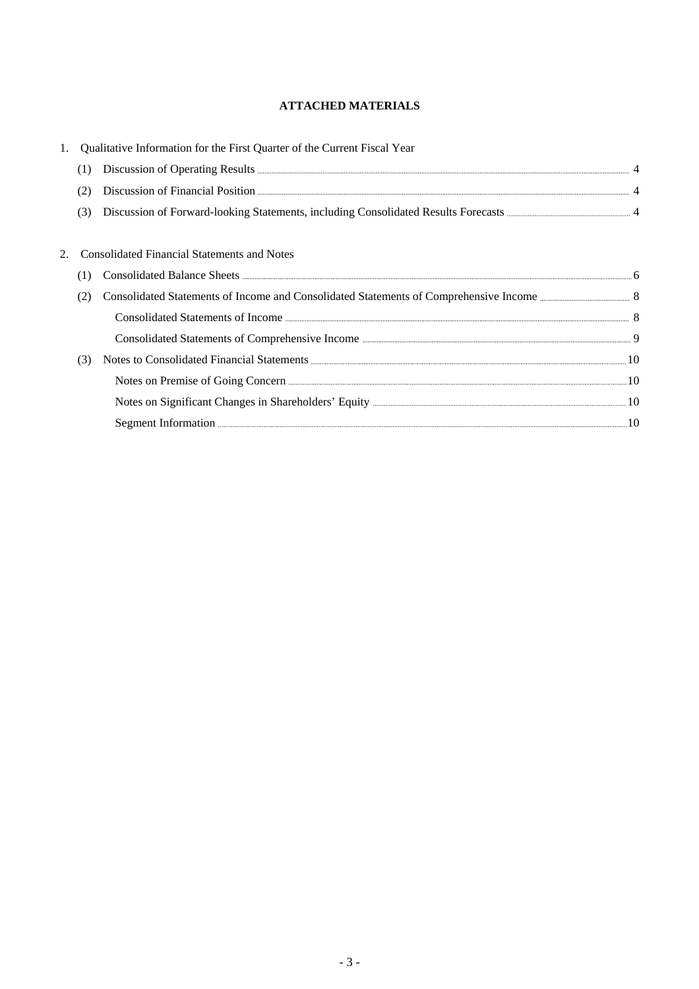## **ATTACHED MATERIALS**

|     | Qualitative Information for the First Quarter of the Current Fiscal Year                                                                                                                                                            |  |
|-----|-------------------------------------------------------------------------------------------------------------------------------------------------------------------------------------------------------------------------------------|--|
| (1) |                                                                                                                                                                                                                                     |  |
|     | Discussion of Financial Position <b>Execution</b> 4                                                                                                                                                                                 |  |
| (3) |                                                                                                                                                                                                                                     |  |
|     |                                                                                                                                                                                                                                     |  |
|     | <b>Consolidated Financial Statements and Notes</b>                                                                                                                                                                                  |  |
| (1) |                                                                                                                                                                                                                                     |  |
| (2) |                                                                                                                                                                                                                                     |  |
|     | Consolidated Statements of Income <b>Manufacture 1996</b> 8                                                                                                                                                                         |  |
|     |                                                                                                                                                                                                                                     |  |
| (3) |                                                                                                                                                                                                                                     |  |
|     |                                                                                                                                                                                                                                     |  |
|     |                                                                                                                                                                                                                                     |  |
|     | Segment Information <b>Manual Excess Excess Excess</b> Excess Excess Excess Excess Excess Excess Excess Excess Excess Excess Excess Excess Excess Excess Excess Excess Excess Excess Excess Excess Excess Excess Excess Excess Exce |  |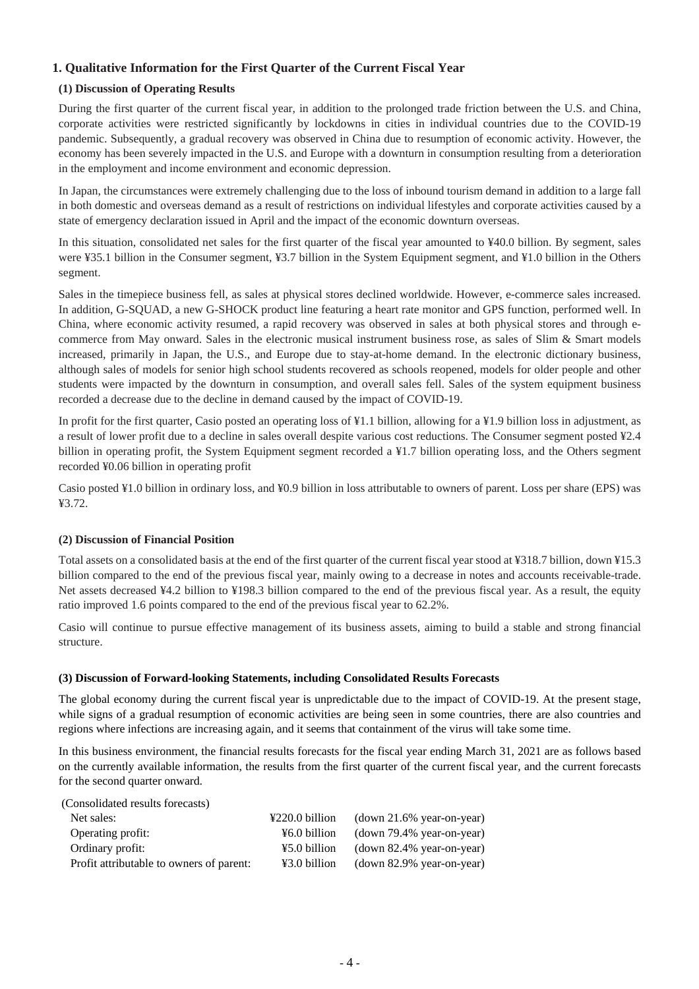## **1. Qualitative Information for the First Quarter of the Current Fiscal Year**

#### **(1) Discussion of Operating Results**

During the first quarter of the current fiscal year, in addition to the prolonged trade friction between the U.S. and China, corporate activities were restricted significantly by lockdowns in cities in individual countries due to the COVID-19 pandemic. Subsequently, a gradual recovery was observed in China due to resumption of economic activity. However, the economy has been severely impacted in the U.S. and Europe with a downturn in consumption resulting from a deterioration in the employment and income environment and economic depression.

In Japan, the circumstances were extremely challenging due to the loss of inbound tourism demand in addition to a large fall in both domestic and overseas demand as a result of restrictions on individual lifestyles and corporate activities caused by a state of emergency declaration issued in April and the impact of the economic downturn overseas.

In this situation, consolidated net sales for the first quarter of the fiscal year amounted to ¥40.0 billion. By segment, sales were ¥35.1 billion in the Consumer segment, ¥3.7 billion in the System Equipment segment, and ¥1.0 billion in the Others segment.

Sales in the timepiece business fell, as sales at physical stores declined worldwide. However, e-commerce sales increased. In addition, G-SQUAD, a new G-SHOCK product line featuring a heart rate monitor and GPS function, performed well. In China, where economic activity resumed, a rapid recovery was observed in sales at both physical stores and through ecommerce from May onward. Sales in the electronic musical instrument business rose, as sales of Slim & Smart models increased, primarily in Japan, the U.S., and Europe due to stay-at-home demand. In the electronic dictionary business, although sales of models for senior high school students recovered as schools reopened, models for older people and other students were impacted by the downturn in consumption, and overall sales fell. Sales of the system equipment business recorded a decrease due to the decline in demand caused by the impact of COVID-19.

In profit for the first quarter, Casio posted an operating loss of ¥1.1 billion, allowing for a ¥1.9 billion loss in adjustment, as a result of lower profit due to a decline in sales overall despite various cost reductions. The Consumer segment posted ¥2.4 billion in operating profit, the System Equipment segment recorded a ¥1.7 billion operating loss, and the Others segment recorded ¥0.06 billion in operating profit

Casio posted ¥1.0 billion in ordinary loss, and ¥0.9 billion in loss attributable to owners of parent. Loss per share (EPS) was ¥3.72.

#### **(2) Discussion of Financial Position**

Total assets on a consolidated basis at the end of the first quarter of the current fiscal year stood at ¥318.7 billion, down ¥15.3 billion compared to the end of the previous fiscal year, mainly owing to a decrease in notes and accounts receivable-trade. Net assets decreased ¥4.2 billion to ¥198.3 billion compared to the end of the previous fiscal year. As a result, the equity ratio improved 1.6 points compared to the end of the previous fiscal year to 62.2%.

Casio will continue to pursue effective management of its business assets, aiming to build a stable and strong financial structure.

#### **(3) Discussion of Forward-looking Statements, including Consolidated Results Forecasts**

The global economy during the current fiscal year is unpredictable due to the impact of COVID-19. At the present stage, while signs of a gradual resumption of economic activities are being seen in some countries, there are also countries and regions where infections are increasing again, and it seems that containment of the virus will take some time.

In this business environment, the financial results forecasts for the fiscal year ending March 31, 2021 are as follows based on the currently available information, the results from the first quarter of the current fiscal year, and the current forecasts for the second quarter onward.

| ¥220.0 billion | $(down 21.6\%$ year-on-year) |
|----------------|------------------------------|
| ¥6.0 billion   | $(down 79.4\%$ year-on-year) |
| ¥5.0 billion   | $(down 82.4\%$ year-on-year) |
| ¥3.0 billion   | $(down 82.9% year-on-year)$  |
|                |                              |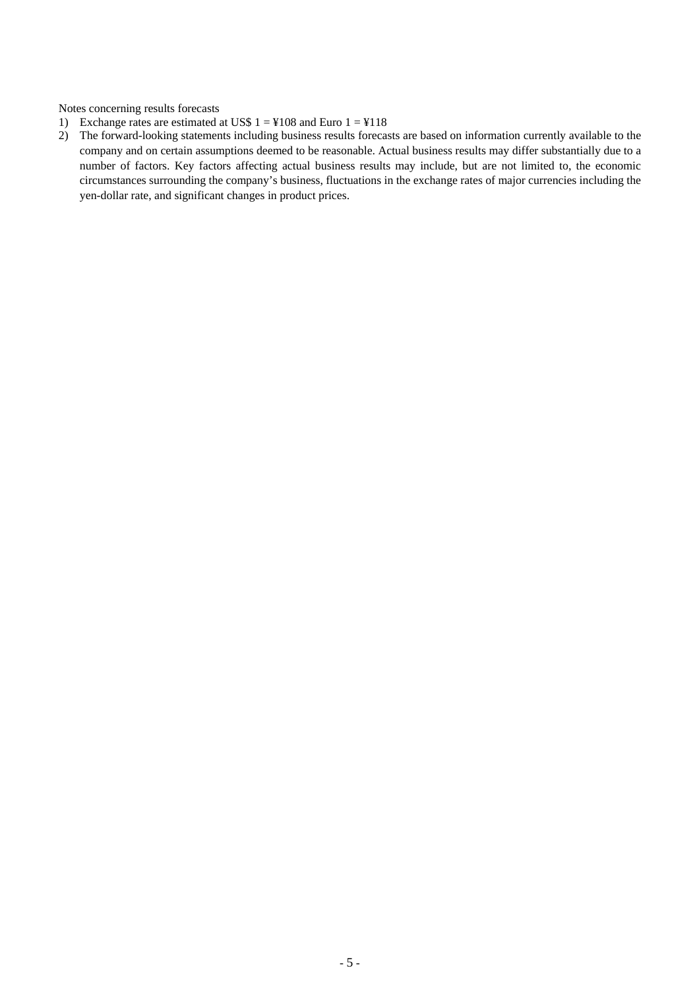Notes concerning results forecasts

- 1) Exchange rates are estimated at US\$  $1 = 4108$  and Euro  $1 = 4118$
- 2) The forward-looking statements including business results forecasts are based on information currently available to the company and on certain assumptions deemed to be reasonable. Actual business results may differ substantially due to a number of factors. Key factors affecting actual business results may include, but are not limited to, the economic circumstances surrounding the company's business, fluctuations in the exchange rates of major currencies including the yen-dollar rate, and significant changes in product prices.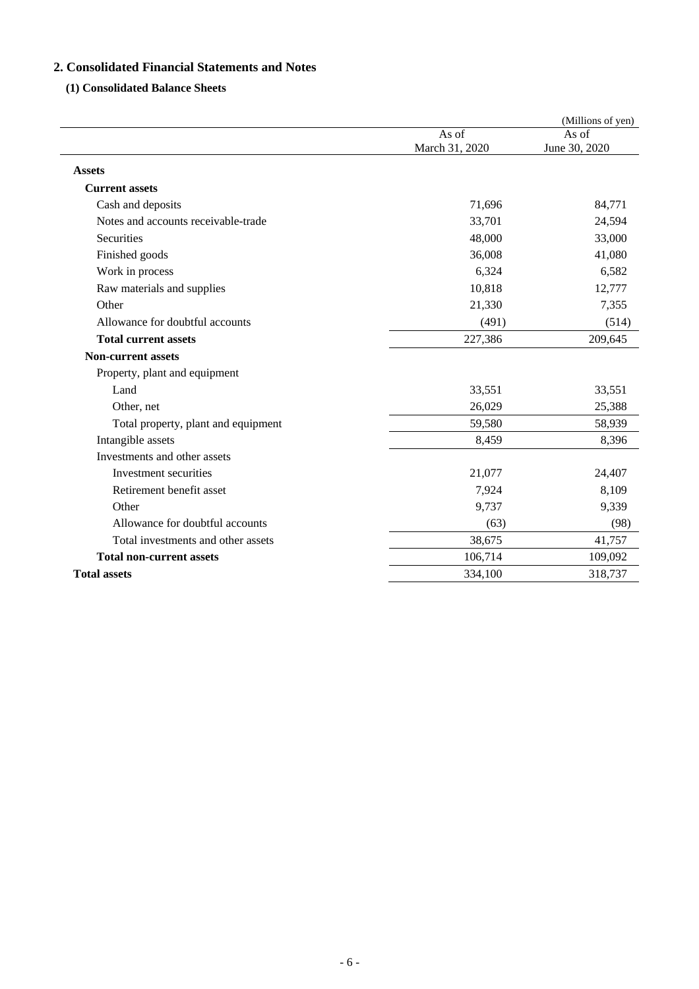## **2. Consolidated Financial Statements and Notes**

### **(1) Consolidated Balance Sheets**

|                                     |                         | (Millions of yen)      |
|-------------------------------------|-------------------------|------------------------|
|                                     | As of<br>March 31, 2020 | As of<br>June 30, 2020 |
| <b>Assets</b>                       |                         |                        |
| <b>Current assets</b>               |                         |                        |
| Cash and deposits                   | 71,696                  | 84,771                 |
| Notes and accounts receivable-trade | 33,701                  | 24,594                 |
| Securities                          | 48,000                  | 33,000                 |
| Finished goods                      | 36,008                  | 41,080                 |
| Work in process                     | 6,324                   | 6,582                  |
| Raw materials and supplies          | 10,818                  | 12,777                 |
| Other                               | 21,330                  | 7,355                  |
| Allowance for doubtful accounts     | (491)                   | (514)                  |
| <b>Total current assets</b>         | 227,386                 | 209,645                |
| <b>Non-current assets</b>           |                         |                        |
| Property, plant and equipment       |                         |                        |
| Land                                | 33,551                  | 33,551                 |
| Other, net                          | 26,029                  | 25,388                 |
| Total property, plant and equipment | 59,580                  | 58,939                 |
| Intangible assets                   | 8,459                   | 8,396                  |
| Investments and other assets        |                         |                        |
| Investment securities               | 21,077                  | 24,407                 |
| Retirement benefit asset            | 7,924                   | 8,109                  |
| Other                               | 9,737                   | 9,339                  |
| Allowance for doubtful accounts     | (63)                    | (98)                   |
| Total investments and other assets  | 38,675                  | 41,757                 |
| <b>Total non-current assets</b>     | 106,714                 | 109,092                |
| <b>Total assets</b>                 | 334,100                 | 318,737                |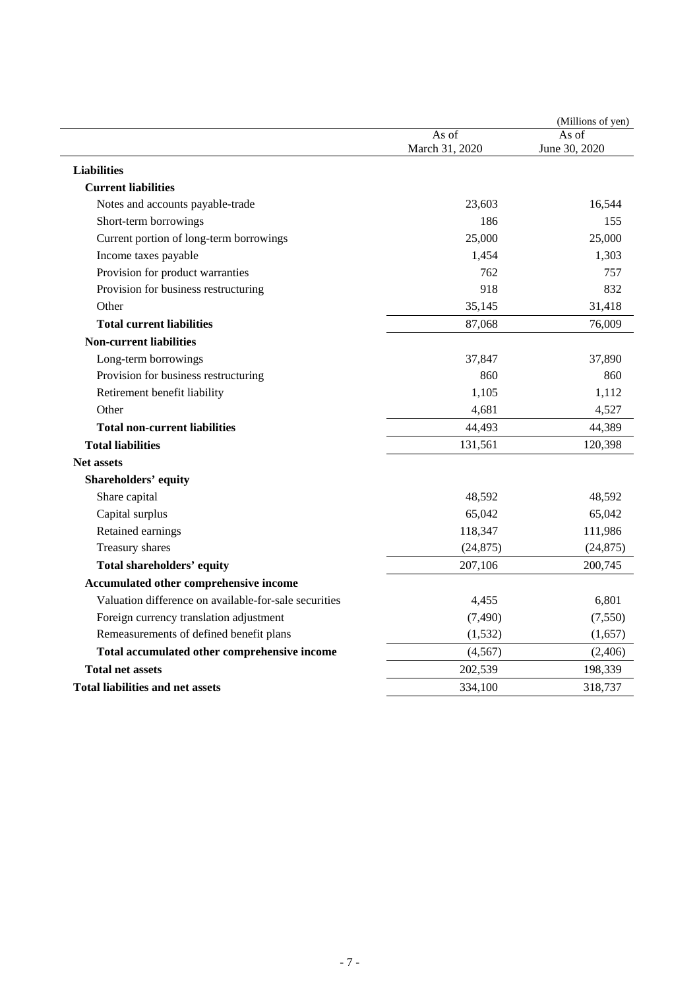|                                                       |                         | (Millions of yen)      |
|-------------------------------------------------------|-------------------------|------------------------|
|                                                       | As of<br>March 31, 2020 | As of<br>June 30, 2020 |
| <b>Liabilities</b>                                    |                         |                        |
| <b>Current liabilities</b>                            |                         |                        |
| Notes and accounts payable-trade                      | 23,603                  | 16,544                 |
| Short-term borrowings                                 | 186                     | 155                    |
| Current portion of long-term borrowings               | 25,000                  | 25,000                 |
| Income taxes payable                                  | 1,454                   | 1,303                  |
| Provision for product warranties                      | 762                     | 757                    |
| Provision for business restructuring                  | 918                     | 832                    |
| Other                                                 | 35,145                  | 31,418                 |
| <b>Total current liabilities</b>                      | 87,068                  | 76,009                 |
| <b>Non-current liabilities</b>                        |                         |                        |
| Long-term borrowings                                  | 37,847                  | 37,890                 |
| Provision for business restructuring                  | 860                     | 860                    |
| Retirement benefit liability                          | 1,105                   | 1,112                  |
| Other                                                 | 4,681                   | 4,527                  |
| <b>Total non-current liabilities</b>                  | 44,493                  | 44,389                 |
| <b>Total liabilities</b>                              | 131,561                 | 120,398                |
| Net assets                                            |                         |                        |
| Shareholders' equity                                  |                         |                        |
| Share capital                                         | 48,592                  | 48,592                 |
| Capital surplus                                       | 65,042                  | 65,042                 |
| Retained earnings                                     | 118,347                 | 111,986                |
| Treasury shares                                       | (24, 875)               | (24, 875)              |
| Total shareholders' equity                            | 207,106                 | 200,745                |
| Accumulated other comprehensive income                |                         |                        |
| Valuation difference on available-for-sale securities | 4,455                   | 6,801                  |
| Foreign currency translation adjustment               | (7, 490)                | (7,550)                |
| Remeasurements of defined benefit plans               | (1, 532)                | (1,657)                |
| Total accumulated other comprehensive income          | (4, 567)                | (2,406)                |
| <b>Total net assets</b>                               | 202,539                 | 198,339                |
| <b>Total liabilities and net assets</b>               | 334,100                 | 318,737                |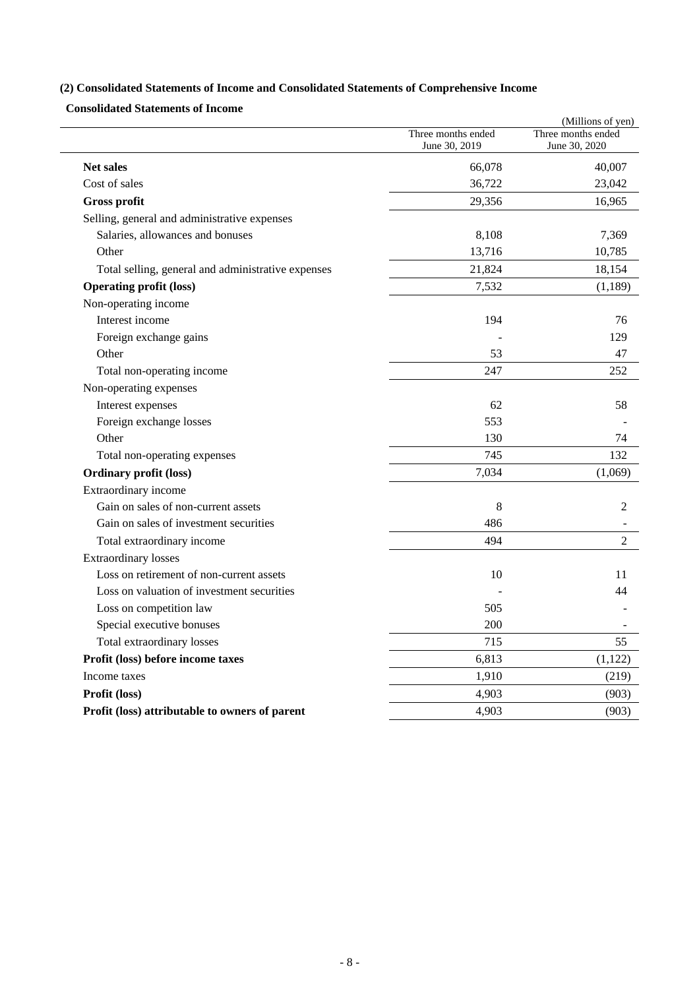## **(2) Consolidated Statements of Income and Consolidated Statements of Comprehensive Income**

**Consolidated Statements of Income** 

|                                                    |                                     | (Millions of yen)                   |
|----------------------------------------------------|-------------------------------------|-------------------------------------|
|                                                    | Three months ended<br>June 30, 2019 | Three months ended<br>June 30, 2020 |
| <b>Net sales</b>                                   | 66,078                              | 40,007                              |
| Cost of sales                                      | 36,722                              | 23,042                              |
| Gross profit                                       | 29,356                              | 16,965                              |
| Selling, general and administrative expenses       |                                     |                                     |
| Salaries, allowances and bonuses                   | 8,108                               | 7,369                               |
| Other                                              | 13,716                              | 10,785                              |
| Total selling, general and administrative expenses | 21,824                              | 18,154                              |
| <b>Operating profit (loss)</b>                     | 7,532                               | (1,189)                             |
| Non-operating income                               |                                     |                                     |
| Interest income                                    | 194                                 | 76                                  |
| Foreign exchange gains                             |                                     | 129                                 |
| Other                                              | 53                                  | 47                                  |
| Total non-operating income                         | 247                                 | 252                                 |
| Non-operating expenses                             |                                     |                                     |
| Interest expenses                                  | 62                                  | 58                                  |
| Foreign exchange losses                            | 553                                 |                                     |
| Other                                              | 130                                 | 74                                  |
| Total non-operating expenses                       | 745                                 | 132                                 |
| <b>Ordinary profit (loss)</b>                      | 7,034                               | (1,069)                             |
| Extraordinary income                               |                                     |                                     |
| Gain on sales of non-current assets                | 8                                   | 2                                   |
| Gain on sales of investment securities             | 486                                 |                                     |
| Total extraordinary income                         | 494                                 | 2                                   |
| <b>Extraordinary losses</b>                        |                                     |                                     |
| Loss on retirement of non-current assets           | 10                                  | 11                                  |
| Loss on valuation of investment securities         |                                     | 44                                  |
| Loss on competition law                            | 505                                 |                                     |
| Special executive bonuses                          | 200                                 |                                     |
| Total extraordinary losses                         | 715                                 | 55                                  |
| Profit (loss) before income taxes                  | 6,813                               | (1,122)                             |
| Income taxes                                       | 1,910                               | (219)                               |
| Profit (loss)                                      | 4,903                               | (903)                               |
| Profit (loss) attributable to owners of parent     | 4,903                               | (903)                               |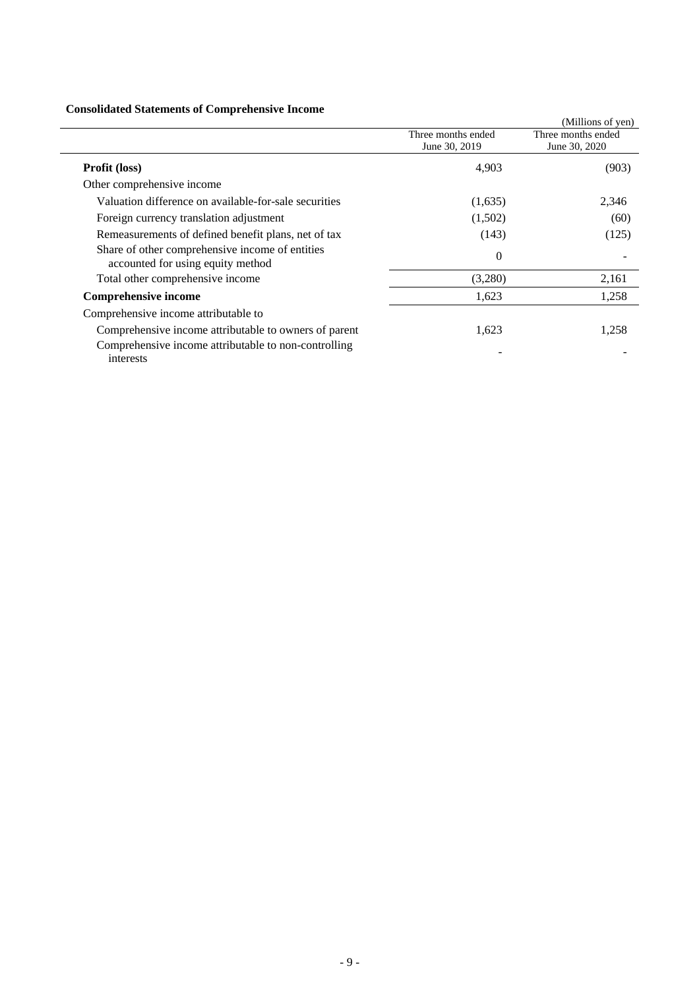### **Consolidated Statements of Comprehensive Income**

| Consolidated Statements of Complements of Income                                     |                                     |                                     |
|--------------------------------------------------------------------------------------|-------------------------------------|-------------------------------------|
|                                                                                      |                                     | (Millions of yen)                   |
|                                                                                      | Three months ended<br>June 30, 2019 | Three months ended<br>June 30, 2020 |
| <b>Profit (loss)</b>                                                                 | 4,903                               | (903)                               |
| Other comprehensive income                                                           |                                     |                                     |
| Valuation difference on available-for-sale securities                                | (1,635)                             | 2,346                               |
| Foreign currency translation adjustment                                              | (1,502)                             | (60)                                |
| Remeasurements of defined benefit plans, net of tax                                  | (143)                               | (125)                               |
| Share of other comprehensive income of entities<br>accounted for using equity method | $\Omega$                            |                                     |
| Total other comprehensive income                                                     | (3,280)                             | 2,161                               |
| <b>Comprehensive income</b>                                                          | 1,623                               | 1,258                               |
| Comprehensive income attributable to                                                 |                                     |                                     |
| Comprehensive income attributable to owners of parent                                | 1,623                               | 1,258                               |
| Comprehensive income attributable to non-controlling<br>interests                    |                                     |                                     |